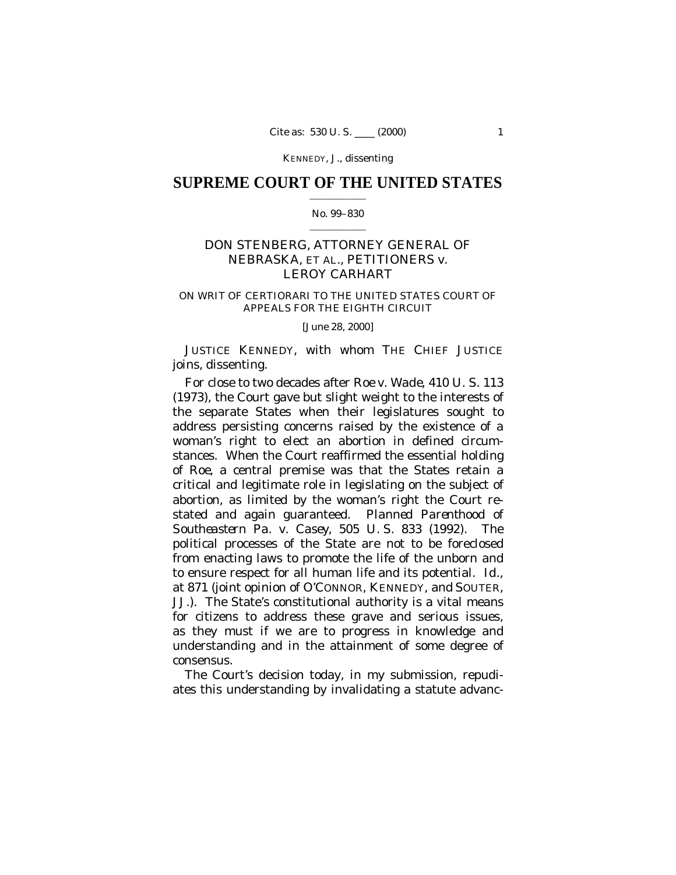# **SUPREME COURT OF THE UNITED STATES**  $\mathcal{L}=\mathcal{L}^{\mathcal{L}}$  , where  $\mathcal{L}^{\mathcal{L}}$

### No. 99–830  $\mathcal{L}=\mathcal{L}^{\mathcal{L}}$  , where  $\mathcal{L}^{\mathcal{L}}$

# DON STENBERG, ATTORNEY GENERAL OF NEBRASKA, ET AL., PETITIONERS *v.* LEROY CARHART

# ON WRIT OF CERTIORARI TO THE UNITED STATES COURT OF APPEALS FOR THE EIGHTH CIRCUIT

[June 28, 2000]

JUSTICE KENNEDY, with whom THE CHIEF JUSTICE joins, dissenting.

For close to two decades after *Roe* v. *Wade*, 410 U. S. 113 (1973), the Court gave but slight weight to the interests of the separate States when their legislatures sought to address persisting concerns raised by the existence of a woman's right to elect an abortion in defined circumstances. When the Court reaffirmed the essential holding of *Roe*, a central premise was that the States retain a critical and legitimate role in legislating on the subject of abortion, as limited by the woman's right the Court restated and again guaranteed. *Planned Parenthood of Southeastern Pa.* v. *Casey,* 505 U. S. 833 (1992). The political processes of the State are not to be foreclosed from enacting laws to promote the life of the unborn and to ensure respect for all human life and its potential. *Id.*, at 871 (joint opinion of O'CONNOR, KENNEDY, and SOUTER, JJ.). The State's constitutional authority is a vital means for citizens to address these grave and serious issues, as they must if we are to progress in knowledge and understanding and in the attainment of some degree of consensus.

The Court's decision today, in my submission, repudiates this understanding by invalidating a statute advanc-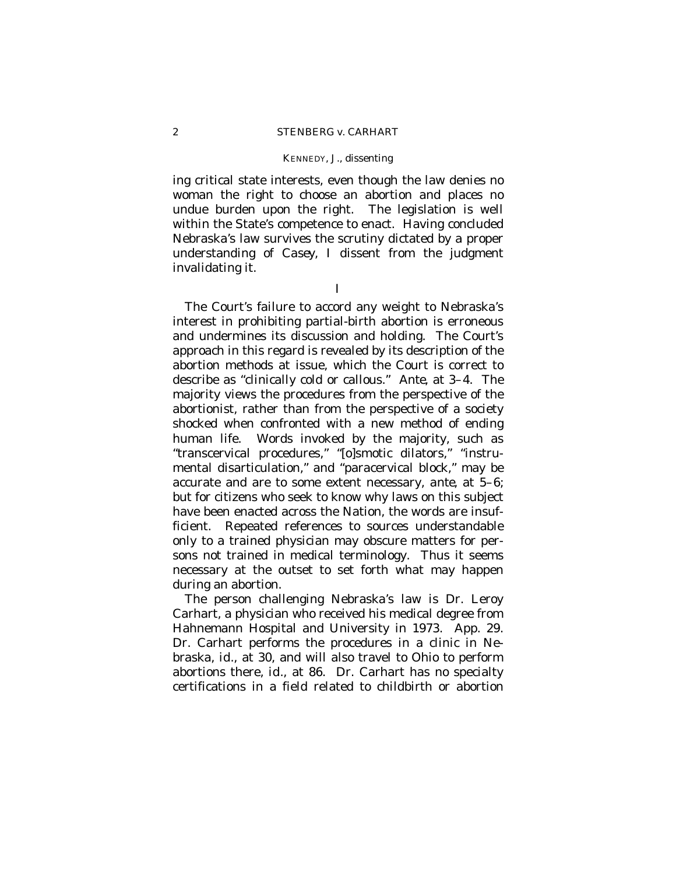ing critical state interests, even though the law denies no woman the right to choose an abortion and places no undue burden upon the right. The legislation is well within the State's competence to enact. Having concluded Nebraska's law survives the scrutiny dictated by a proper understanding of *Casey*, I dissent from the judgment invalidating it.

I

The Court's failure to accord any weight to Nebraska's interest in prohibiting partial-birth abortion is erroneous and undermines its discussion and holding. The Court's approach in this regard is revealed by its description of the abortion methods at issue, which the Court is correct to describe as "clinically cold or callous." *Ante*, at 3–4. The majority views the procedures from the perspective of the abortionist, rather than from the perspective of a society shocked when confronted with a new method of ending human life. Words invoked by the majority, such as "transcervical procedures," "[o]smotic dilators," "instrumental disarticulation," and "paracervical block," may be accurate and are to some extent necessary, *ante*, at 5–6; but for citizens who seek to know why laws on this subject have been enacted across the Nation, the words are insufficient. Repeated references to sources understandable only to a trained physician may obscure matters for persons not trained in medical terminology. Thus it seems necessary at the outset to set forth what may happen during an abortion.

The person challenging Nebraska's law is Dr. Leroy Carhart, a physician who received his medical degree from Hahnemann Hospital and University in 1973. App. 29. Dr. Carhart performs the procedures in a clinic in Nebraska, *id.,* at 30, and will also travel to Ohio to perform abortions there, *id.,* at 86. Dr. Carhart has no specialty certifications in a field related to childbirth or abortion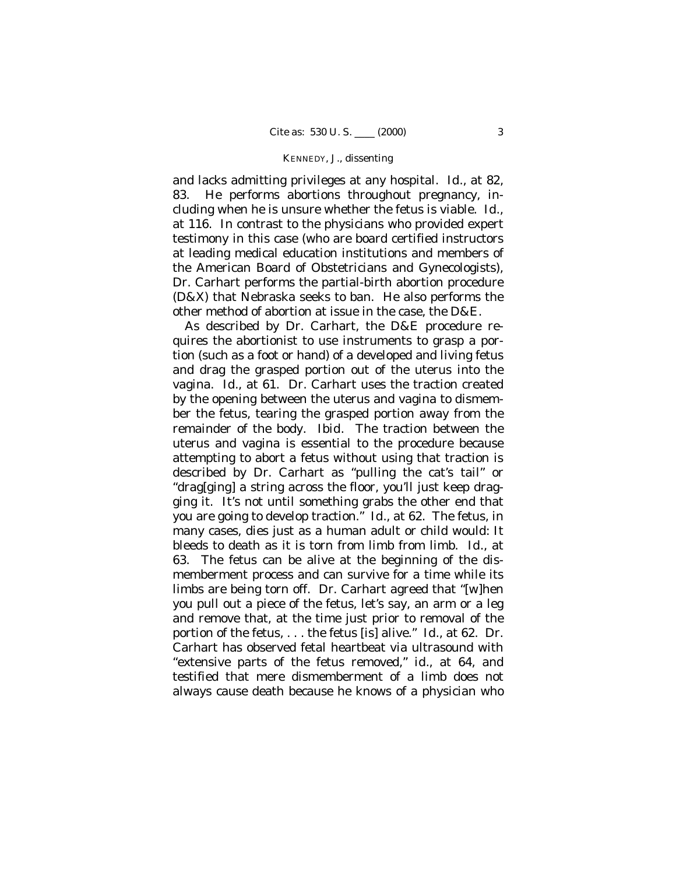and lacks admitting privileges at any hospital. *Id.*, at 82, 83. He performs abortions throughout pregnancy, including when he is unsure whether the fetus is viable. *Id.,* at 116. In contrast to the physicians who provided expert testimony in this case (who are board certified instructors at leading medical education institutions and members of the American Board of Obstetricians and Gynecologists), Dr. Carhart performs the partial-birth abortion procedure (D&X) that Nebraska seeks to ban. He also performs the other method of abortion at issue in the case, the D&E.

As described by Dr. Carhart, the D&E procedure requires the abortionist to use instruments to grasp a portion (such as a foot or hand) of a developed and living fetus and drag the grasped portion out of the uterus into the vagina. *Id.,* at 61. Dr. Carhart uses the traction created by the opening between the uterus and vagina to dismember the fetus, tearing the grasped portion away from the remainder of the body. *Ibid.* The traction between the uterus and vagina is essential to the procedure because attempting to abort a fetus without using that traction is described by Dr. Carhart as "pulling the cat's tail" or "drag[ging] a string across the floor, you'll just keep dragging it. It's not until something grabs the other end that you are going to develop traction." *Id.*, at 62. The fetus, in many cases, dies just as a human adult or child would: It bleeds to death as it is torn from limb from limb. *Id.*, at 63. The fetus can be alive at the beginning of the dismemberment process and can survive for a time while its limbs are being torn off. Dr. Carhart agreed that "[w]hen you pull out a piece of the fetus, let's say, an arm or a leg and remove that, at the time just prior to removal of the portion of the fetus, . . . the fetus [is] alive." *Id.*, at 62. Dr. Carhart has observed fetal heartbeat via ultrasound with "extensive parts of the fetus removed," *id.*, at 64, and testified that mere dismemberment of a limb does not always cause death because he knows of a physician who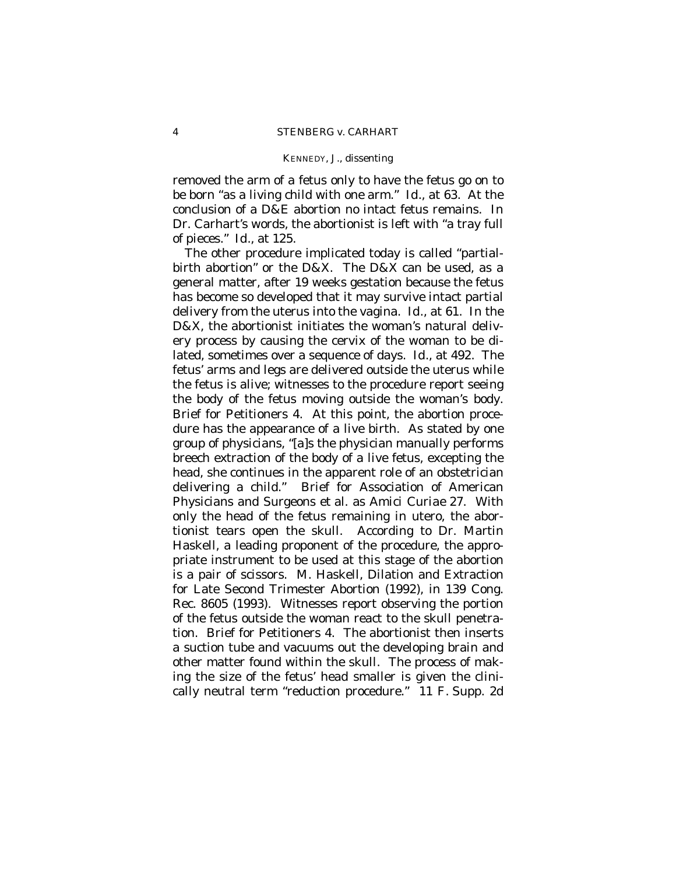removed the arm of a fetus only to have the fetus go on to be born "as a living child with one arm." *Id.*, at 63. At the conclusion of a D&E abortion no intact fetus remains. In Dr. Carhart's words, the abortionist is left with "a tray full of pieces." *Id.*, at 125.

The other procedure implicated today is called "partialbirth abortion" or the D&X. The D&X can be used, as a general matter, after 19 weeks gestation because the fetus has become so developed that it may survive intact partial delivery from the uterus into the vagina. *Id.*, at 61. In the D&X, the abortionist initiates the woman's natural delivery process by causing the cervix of the woman to be dilated, sometimes over a sequence of days. *Id.*, at 492. The fetus' arms and legs are delivered outside the uterus while the fetus is alive; witnesses to the procedure report seeing the body of the fetus moving outside the woman's body. Brief for Petitioners 4. At this point, the abortion procedure has the appearance of a live birth. As stated by one group of physicians, "[a]s the physician manually performs breech extraction of the body of a live fetus, excepting the head, she continues in the apparent role of an obstetrician delivering a child." Brief for Association of American Physicians and Surgeons et al. as *Amici Curiae* 27. With only the head of the fetus remaining in utero, the abortionist tears open the skull. According to Dr. Martin Haskell, a leading proponent of the procedure, the appropriate instrument to be used at this stage of the abortion is a pair of scissors. M. Haskell, Dilation and Extraction for Late Second Trimester Abortion (1992), in 139 Cong. Rec. 8605 (1993). Witnesses report observing the portion of the fetus outside the woman react to the skull penetration. Brief for Petitioners 4. The abortionist then inserts a suction tube and vacuums out the developing brain and other matter found within the skull. The process of making the size of the fetus' head smaller is given the clinically neutral term "reduction procedure." 11 F. Supp. 2d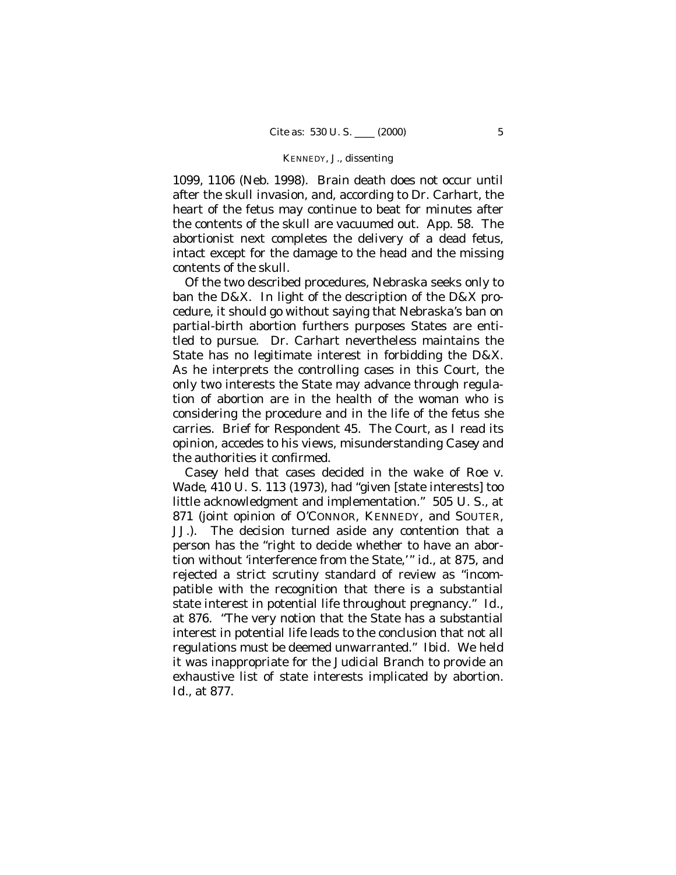1099, 1106 (Neb. 1998). Brain death does not occur until after the skull invasion, and, according to Dr. Carhart, the heart of the fetus may continue to beat for minutes after the contents of the skull are vacuumed out. App. 58. The abortionist next completes the delivery of a dead fetus, intact except for the damage to the head and the missing contents of the skull.

Of the two described procedures, Nebraska seeks only to ban the D&X. In light of the description of the D&X procedure, it should go without saying that Nebraska's ban on partial-birth abortion furthers purposes States are entitled to pursue. Dr. Carhart nevertheless maintains the State has no legitimate interest in forbidding the D&X. As he interprets the controlling cases in this Court, the only two interests the State may advance through regulation of abortion are in the health of the woman who is considering the procedure and in the life of the fetus she carries. Brief for Respondent 45. The Court, as I read its opinion, accedes to his views, misunderstanding *Casey* and the authorities it confirmed.

*Casey* held that cases decided in the wake of *Roe* v. *Wade,* 410 U. S. 113 (1973), had "given [state interests] too little acknowledgment and implementation." 505 U. S., at 871 (joint opinion of O'CONNOR, KENNEDY, and SOUTER, JJ.). The decision turned aside any contention that a person has the "right to decide whether to have an abortion without 'interference from the State,'" *id.*, at 875, and rejected a strict scrutiny standard of review as "incompatible with the recognition that there is a substantial state interest in potential life throughout pregnancy." *Id.*, at 876. "The very notion that the State has a substantial interest in potential life leads to the conclusion that not all regulations must be deemed unwarranted." *Ibid.* We held it was inappropriate for the Judicial Branch to provide an exhaustive list of state interests implicated by abortion. *Id.*, at 877.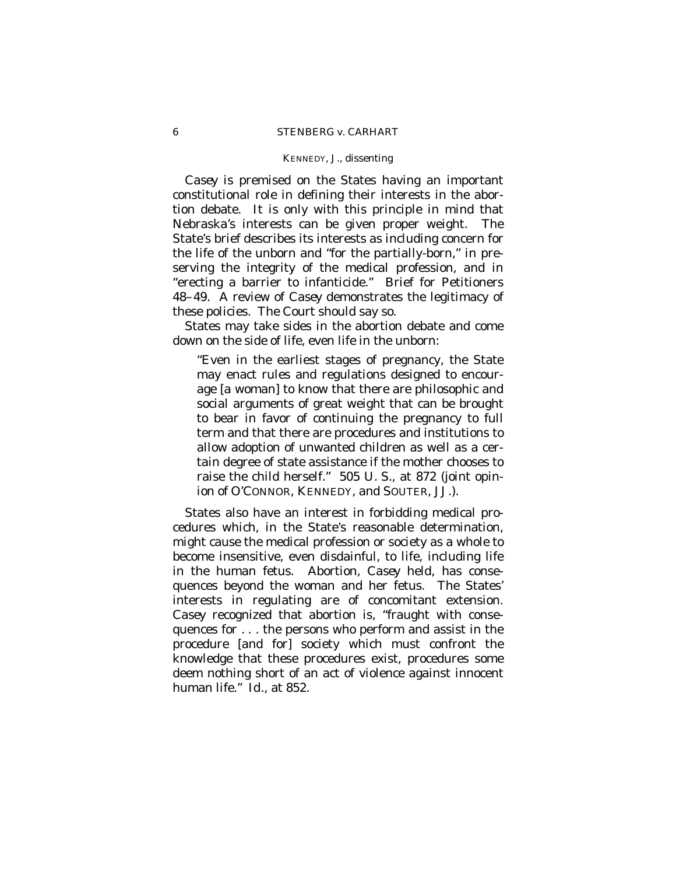# 6 STENBERG *v.* CARHART

# KENNEDY, J., dissenting

*Casey* is premised on the States having an important constitutional role in defining their interests in the abortion debate. It is only with this principle in mind that Nebraska's interests can be given proper weight. The State's brief describes its interests as including concern for the life of the unborn and "for the partially-born," in preserving the integrity of the medical profession, and in "erecting a barrier to infanticide." Brief for Petitioners 48–49. A review of *Casey* demonstrates the legitimacy of these policies. The Court should say so.

States may take sides in the abortion debate and come down on the side of life, even life in the unborn:

"Even in the earliest stages of pregnancy, the State may enact rules and regulations designed to encourage [a woman] to know that there are philosophic and social arguments of great weight that can be brought to bear in favor of continuing the pregnancy to full term and that there are procedures and institutions to allow adoption of unwanted children as well as a certain degree of state assistance if the mother chooses to raise the child herself." 505 U. S., at 872 (joint opinion of O'CONNOR, KENNEDY, and SOUTER, JJ.).

States also have an interest in forbidding medical procedures which, in the State's reasonable determination, might cause the medical profession or society as a whole to become insensitive, even disdainful, to life, including life in the human fetus. Abortion, *Casey* held, has consequences beyond the woman and her fetus. The States' interests in regulating are of concomitant extension. *Casey* recognized that abortion is, "fraught with consequences for . . . the persons who perform and assist in the procedure [and for] society which must confront the knowledge that these procedures exist, procedures some deem nothing short of an act of violence against innocent human life." *Id.,* at 852.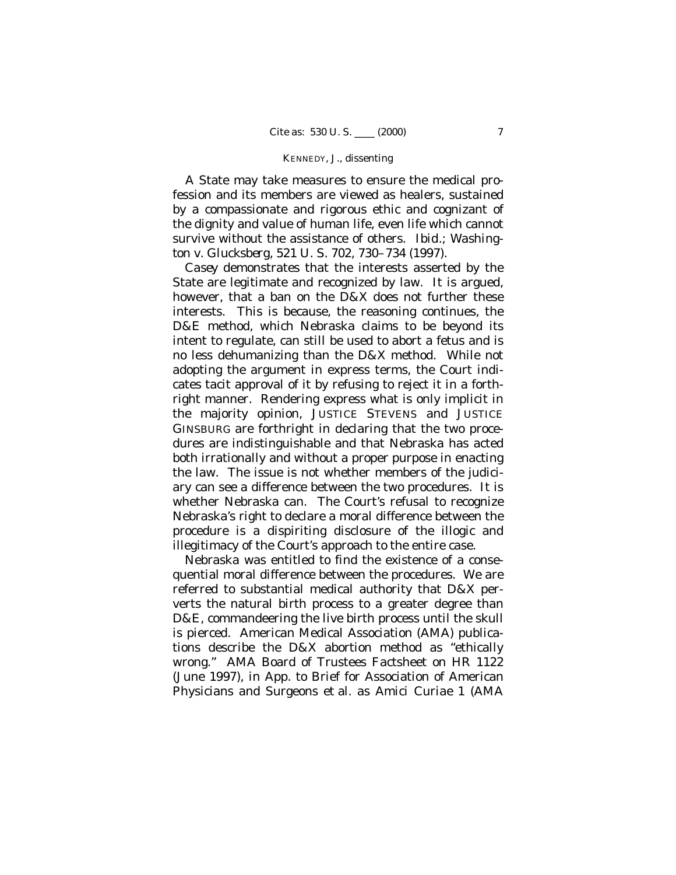A State may take measures to ensure the medical profession and its members are viewed as healers, sustained by a compassionate and rigorous ethic and cognizant of the dignity and value of human life, even life which cannot survive without the assistance of others. *Ibid.; Washington* v. *Glucksberg,* 521 U. S. 702, 730–734 (1997).

*Casey* demonstrates that the interests asserted by the State are legitimate and recognized by law. It is argued, however, that a ban on the D&X does not further these interests. This is because, the reasoning continues, the D&E method, which Nebraska claims to be beyond its intent to regulate, can still be used to abort a fetus and is no less dehumanizing than the D&X method. While not adopting the argument in express terms, the Court indicates tacit approval of it by refusing to reject it in a forthright manner. Rendering express what is only implicit in the majority opinion, JUSTICE STEVENS and JUSTICE GINSBURG are forthright in declaring that the two procedures are indistinguishable and that Nebraska has acted both irrationally and without a proper purpose in enacting the law. The issue is not whether members of the judiciary can see a difference between the two procedures. It is whether Nebraska can. The Court's refusal to recognize Nebraska's right to declare a moral difference between the procedure is a dispiriting disclosure of the illogic and illegitimacy of the Court's approach to the entire case.

Nebraska was entitled to find the existence of a consequential moral difference between the procedures. We are referred to substantial medical authority that D&X perverts the natural birth process to a greater degree than D&E, commandeering the live birth process until the skull is pierced. American Medical Association (AMA) publications describe the D&X abortion method as "ethically wrong." AMA Board of Trustees Factsheet on HR 1122 (June 1997), in App. to Brief for Association of American Physicians and Surgeons et al. as *Amici Curiae* 1 (AMA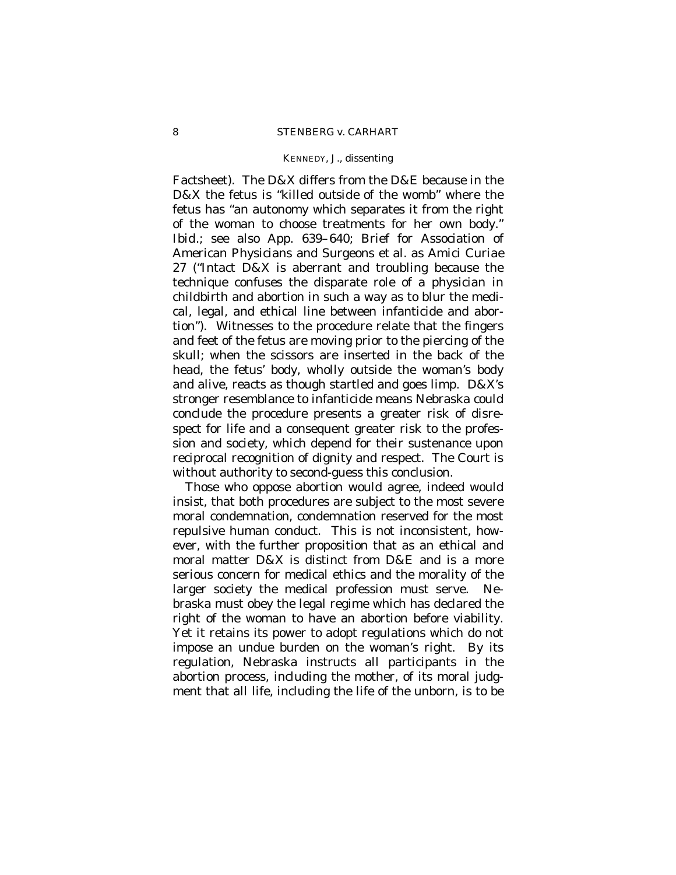#### 8 STENBERG *v.* CARHART

#### KENNEDY, J., dissenting

Factsheet). The D&X differs from the D&E because in the D&X the fetus is "killed *outside* of the womb" where the fetus has "an autonomy which separates it from the right of the woman to choose treatments for her own body." *Ibid.*; see also App. 639–640; Brief for Association of American Physicians and Surgeons et al. as *Amici Curiae* 27 ("Intact D&X is aberrant and troubling because the technique confuses the disparate role of a physician in childbirth and abortion in such a way as to blur the medical, legal, and ethical line between infanticide and abortion"). Witnesses to the procedure relate that the fingers and feet of the fetus are moving prior to the piercing of the skull; when the scissors are inserted in the back of the head, the fetus' body, wholly outside the woman's body and alive, reacts as though startled and goes limp. D&X's stronger resemblance to infanticide means Nebraska could conclude the procedure presents a greater risk of disrespect for life and a consequent greater risk to the profession and society, which depend for their sustenance upon reciprocal recognition of dignity and respect. The Court is without authority to second-guess this conclusion.

Those who oppose abortion would agree, indeed would insist, that both procedures are subject to the most severe moral condemnation, condemnation reserved for the most repulsive human conduct. This is not inconsistent, however, with the further proposition that as an ethical and moral matter D&X is distinct from D&E and is a more serious concern for medical ethics and the morality of the larger society the medical profession must serve. Nebraska must obey the legal regime which has declared the right of the woman to have an abortion before viability. Yet it retains its power to adopt regulations which do not impose an undue burden on the woman's right. By its regulation, Nebraska instructs all participants in the abortion process, including the mother, of its moral judgment that all life, including the life of the unborn, is to be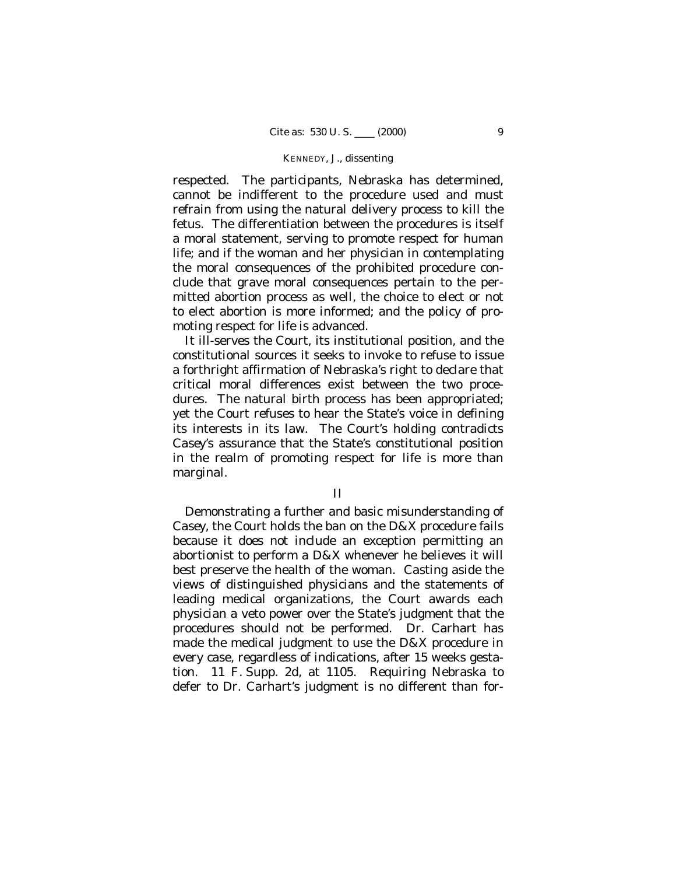respected. The participants, Nebraska has determined, cannot be indifferent to the procedure used and must refrain from using the natural delivery process to kill the fetus. The differentiation between the procedures is itself a moral statement, serving to promote respect for human life; and if the woman and her physician in contemplating the moral consequences of the prohibited procedure conclude that grave moral consequences pertain to the permitted abortion process as well, the choice to elect or not to elect abortion is more informed; and the policy of promoting respect for life is advanced.

It ill-serves the Court, its institutional position, and the constitutional sources it seeks to invoke to refuse to issue a forthright affirmation of Nebraska's right to declare that critical moral differences exist between the two procedures. The natural birth process has been appropriated; yet the Court refuses to hear the State's voice in defining its interests in its law. The Court's holding contradicts *Casey*'s assurance that the State's constitutional position in the realm of promoting respect for life is more than marginal.

# II

Demonstrating a further and basic misunderstanding of *Casey*, the Court holds the ban on the D&X procedure fails because it does not include an exception permitting an abortionist to perform a D&X whenever he believes it will best preserve the health of the woman. Casting aside the views of distinguished physicians and the statements of leading medical organizations, the Court awards each physician a veto power over the State's judgment that the procedures should not be performed. Dr. Carhart has made the medical judgment to use the D&X procedure in every case, regardless of indications, after 15 weeks gestation. 11 F. Supp. 2d, at 1105. Requiring Nebraska to defer to Dr. Carhart's judgment is no different than for-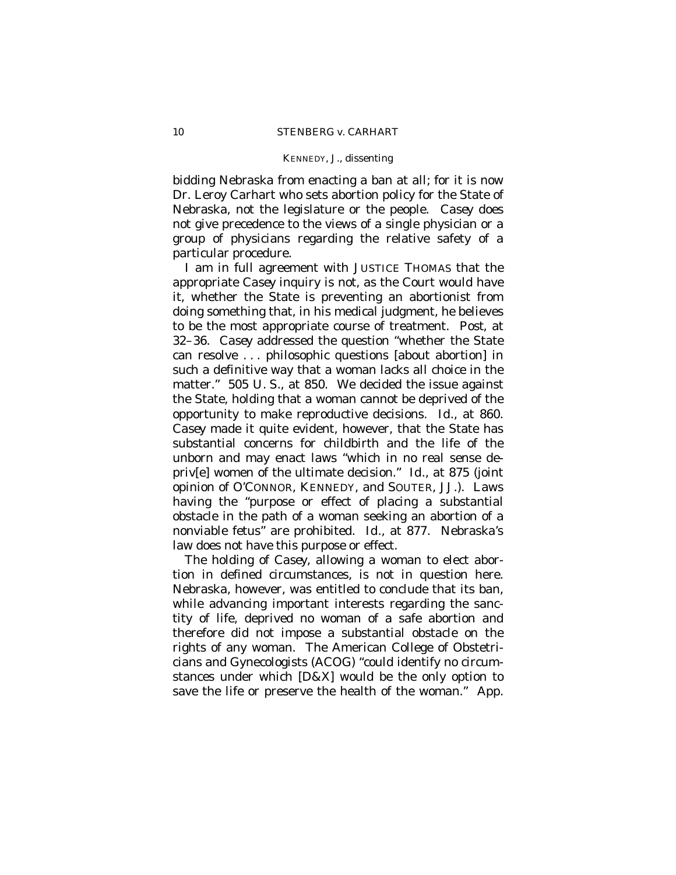bidding Nebraska from enacting a ban at all; for it is now Dr. Leroy Carhart who sets abortion policy for the State of Nebraska, not the legislature or the people. *Casey* does not give precedence to the views of a single physician or a group of physicians regarding the relative safety of a particular procedure.

I am in full agreement with JUSTICE THOMAS that the appropriate *Casey* inquiry is not, as the Court would have it, whether the State is preventing an abortionist from doing something that, in his medical judgment, he believes to be the most appropriate course of treatment. *Post,* at 32–36. *Casey* addressed the question "whether the State can resolve . . . philosophic questions [about abortion] in such a definitive way that a woman lacks all choice in the matter." 505 U. S., at 850. We decided the issue against the State, holding that a woman cannot be deprived of the opportunity to make reproductive decisions. *Id.*, at 860. *Casey* made it quite evident, however, that the State has substantial concerns for childbirth and the life of the unborn and may enact laws "which in no real sense depriv[e] women of the ultimate decision." *Id.*, at 875 (joint opinion of O'CONNOR, KENNEDY, and SOUTER, JJ.). Laws having the "purpose or effect of placing a substantial obstacle in the path of a woman seeking an abortion of a nonviable fetus" are prohibited. *Id.*, at 877. Nebraska's law does not have this purpose or effect.

The holding of *Casey*, allowing a woman to elect abortion in defined circumstances, is not in question here. Nebraska, however, was entitled to conclude that its ban, while advancing important interests regarding the sanctity of life, deprived no woman of a safe abortion and therefore did not impose a substantial obstacle on the rights of any woman. The American College of Obstetricians and Gynecologists (ACOG) "could identify no circumstances under which [D&X] would be the only option to save the life or preserve the health of the woman." App.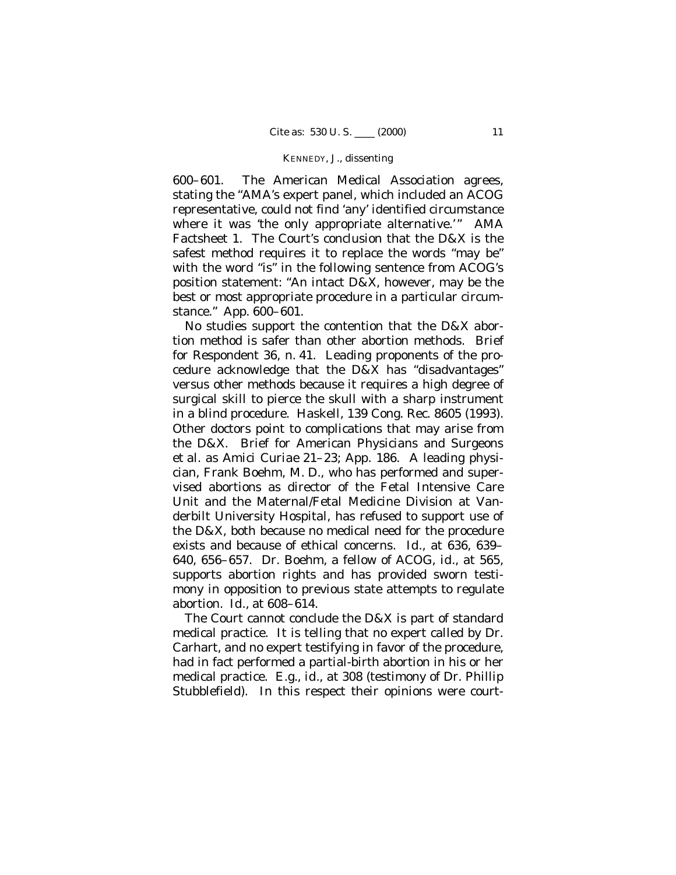600–601. The American Medical Association agrees, stating the "AMA's expert panel, which included an ACOG representative, could not find 'any' identified circumstance where it was 'the only appropriate alternative.'" AMA Factsheet 1. The Court's conclusion that the D&X is the safest method requires it to replace the words "may be" with the word "is" in the following sentence from ACOG's position statement: "An intact D&X, however, may be the best or most appropriate procedure in a particular circumstance." App. 600–601.

No studies support the contention that the D&X abortion method is safer than other abortion methods. Brief for Respondent 36, n. 41. Leading proponents of the procedure acknowledge that the D&X has "disadvantages" versus other methods because it requires a high degree of surgical skill to pierce the skull with a sharp instrument in a blind procedure. Haskell, 139 Cong. Rec. 8605 (1993). Other doctors point to complications that may arise from the D&X. Brief for American Physicians and Surgeons et al. as *Amici Curiae* 21–23; App. 186. A leading physician, Frank Boehm, M. D., who has performed and supervised abortions as director of the Fetal Intensive Care Unit and the Maternal/Fetal Medicine Division at Vanderbilt University Hospital, has refused to support use of the D&X, both because no medical need for the procedure exists and because of ethical concerns. *Id.*, at 636, 639– 640, 656–657. Dr. Boehm, a fellow of ACOG, *id.*, at 565, supports abortion rights and has provided sworn testimony in opposition to previous state attempts to regulate abortion. *Id.*, at 608–614.

The Court cannot conclude the D&X is part of standard medical practice. It is telling that no expert called by Dr. Carhart, and no expert testifying in favor of the procedure, had in fact performed a partial-birth abortion in his or her medical practice. *E.g.*, *id.,* at 308 (testimony of Dr. Phillip Stubblefield). In this respect their opinions were court-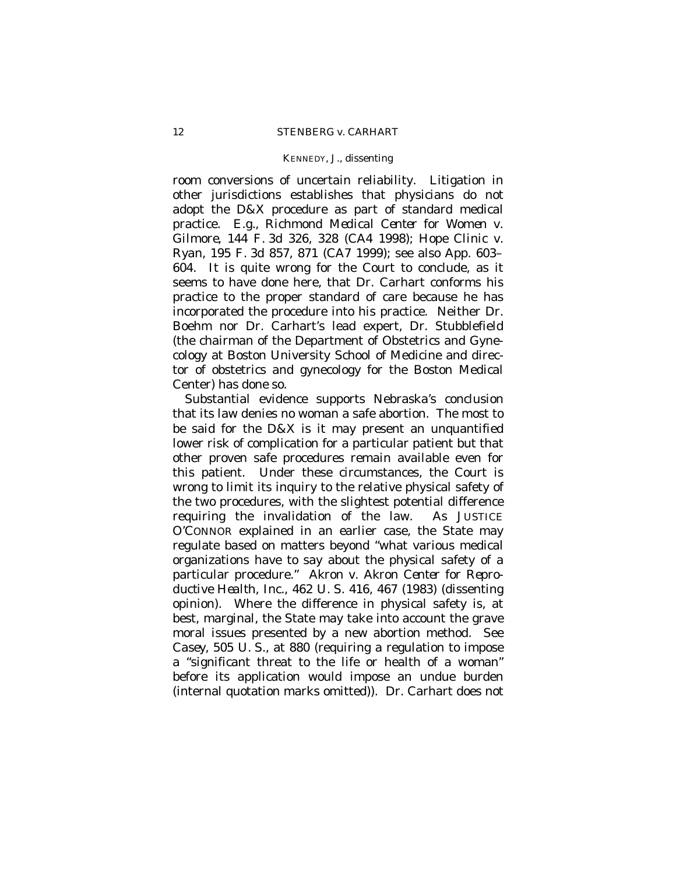room conversions of uncertain reliability. Litigation in other jurisdictions establishes that physicians do not adopt the D&X procedure as part of standard medical practice. *E.g.*, *Richmond Medical Center for Women* v. *Gilmore*, 144 F. 3d 326, 328 (CA4 1998); *Hope Clinic* v. *Ryan*, 195 F. 3d 857, 871 (CA7 1999); see also App. 603– 604. It is quite wrong for the Court to conclude, as it seems to have done here, that Dr. Carhart conforms his practice to the proper standard of care because he has incorporated the procedure into his practice. Neither Dr. Boehm nor Dr. Carhart's lead expert, Dr. Stubblefield (the chairman of the Department of Obstetrics and Gynecology at Boston University School of Medicine and director of obstetrics and gynecology for the Boston Medical Center) has done so.

Substantial evidence supports Nebraska's conclusion that its law denies no woman a safe abortion. The most to be said for the D&X is it may present an unquantified lower risk of complication for a particular patient but that other proven safe procedures remain available even for this patient. Under these circumstances, the Court is wrong to limit its inquiry to the relative physical safety of the two procedures, with the slightest potential difference requiring the invalidation of the law. As JUSTICE O'CONNOR explained in an earlier case, the State may regulate based on matters beyond "what various medical organizations have to say about the *physical* safety of a particular procedure." *Akron* v. *Akron Center for Reproductive Health, Inc.*, 462 U. S. 416, 467 (1983) (dissenting opinion). Where the difference in physical safety is, at best, marginal, the State may take into account the grave moral issues presented by a new abortion method. See *Casey*, 505 U. S., at 880 (requiring a regulation to impose a "significant threat to the life or health of a woman" before its application would impose an undue burden (internal quotation marks omitted)). Dr. Carhart does not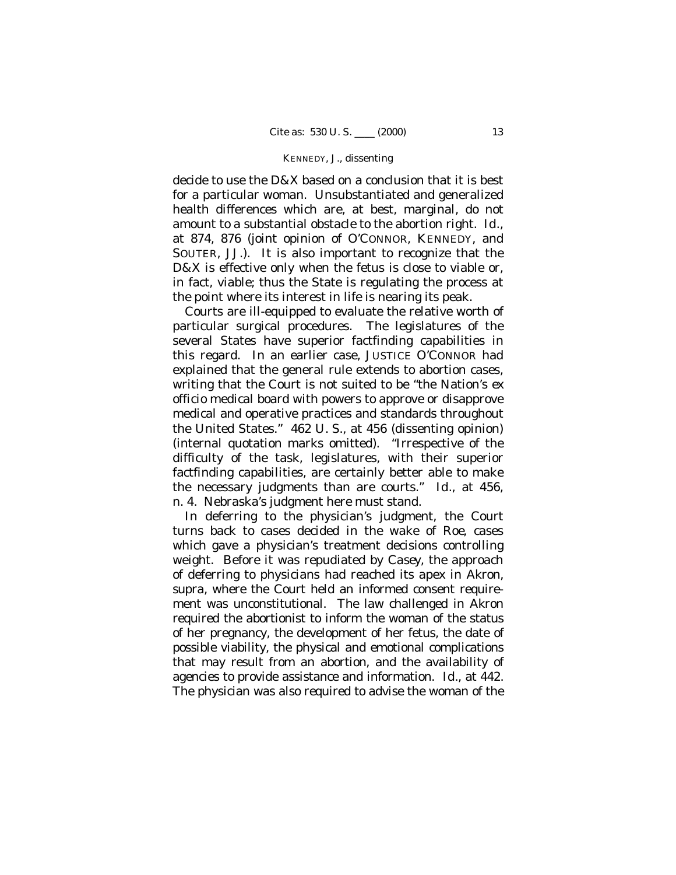decide to use the D&X based on a conclusion that it is best for a particular woman. Unsubstantiated and generalized health differences which are, at best, marginal, do not amount to a substantial obstacle to the abortion right. *Id.*, at 874, 876 (joint opinion of O'CONNOR, KENNEDY, and SOUTER, JJ.). It is also important to recognize that the D&X is effective only when the fetus is close to viable or, in fact, viable; thus the State is regulating the process at the point where its interest in life is nearing its peak.

Courts are ill-equipped to evaluate the relative worth of particular surgical procedures. The legislatures of the several States have superior factfinding capabilities in this regard. In an earlier case, JUSTICE O'CONNOR had explained that the general rule extends to abortion cases, writing that the Court is not suited to be "the Nation's *ex officio* medical board with powers to approve or disapprove medical and operative practices and standards throughout the United States." 462 U. S., at 456 (dissenting opinion) (internal quotation marks omitted). "Irrespective of the difficulty of the task, legislatures, with their superior factfinding capabilities, are certainly better able to make the necessary judgments than are courts." *Id.*, at 456, n. 4. Nebraska's judgment here must stand.

In deferring to the physician's judgment, the Court turns back to cases decided in the wake of *Roe*, cases which gave a physician's treatment decisions controlling weight. Before it was repudiated by *Casey*, the approach of deferring to physicians had reached its apex in *Akron, supra,* where the Court held an informed consent requirement was unconstitutional. The law challenged in *Akron* required the abortionist to inform the woman of the status of her pregnancy, the development of her fetus, the date of possible viability, the physical and emotional complications that may result from an abortion, and the availability of agencies to provide assistance and information. *Id.*, at 442. The physician was also required to advise the woman of the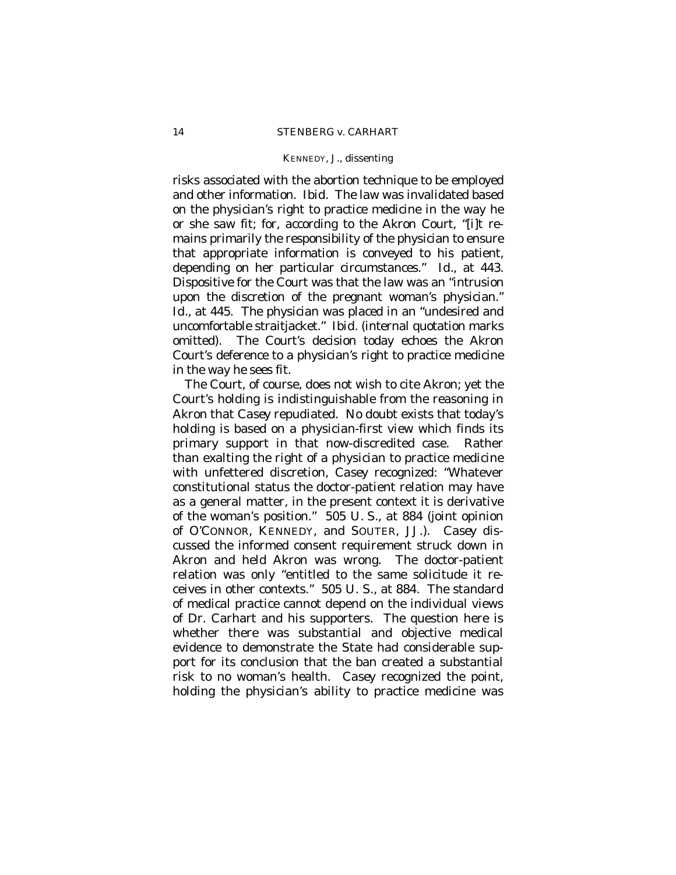risks associated with the abortion technique to be employed and other information. *Ibid.* The law was invalidated based on the physician's right to practice medicine in the way he or she saw fit; for, according to the *Akron* Court, "[i]t remains primarily the responsibility of the physician to ensure that appropriate information is conveyed to his patient, depending on her particular circumstances." *Id.*, at 443. Dispositive for the Court was that the law was an "intrusion upon the discretion of the pregnant woman's physician." *Id.*, at 445. The physician was placed in an "undesired and uncomfortable straitjacket." *Ibid.* (internal quotation marks omitted). The Court's decision today echoes the *Akron* Court's deference to a physician's right to practice medicine in the way he sees fit.

The Court, of course, does not wish to cite *Akron*; yet the Court's holding is indistinguishable from the reasoning in *Akron* that *Casey* repudiated. No doubt exists that today's holding is based on a physician-first view which finds its primary support in that now-discredited case. Rather than exalting the right of a physician to practice medicine with unfettered discretion, *Casey* recognized: "Whatever constitutional status the doctor-patient relation may have as a general matter, in the present context it is derivative of the woman's position." 505 U. S., at 884 (joint opinion of O'CONNOR, KENNEDY, and SOUTER, JJ.). *Casey* discussed the informed consent requirement struck down in *Akron* and held *Akron* was wrong. The doctor-patient relation was only "entitled to the same solicitude it receives in other contexts." 505 U. S., at 884. The standard of medical practice cannot depend on the individual views of Dr. Carhart and his supporters. The question here is whether there was substantial and objective medical evidence to demonstrate the State had considerable support for its conclusion that the ban created a substantial risk to no woman's health. *Casey* recognized the point, holding the physician's ability to practice medicine was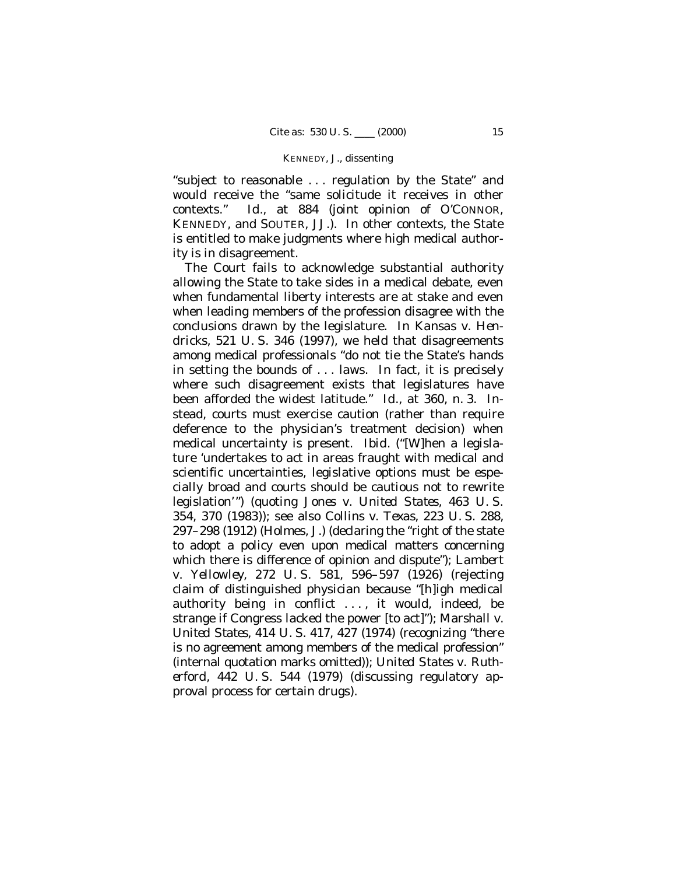"subject to reasonable . . . regulation by the State" and would receive the "same solicitude it receives in other contexts." *Id.,* at 884 (joint opinion of O'CONNOR, KENNEDY, and SOUTER, JJ.). In other contexts, the State is entitled to make judgments where high medical authority is in disagreement.

The Court fails to acknowledge substantial authority allowing the State to take sides in a medical debate, even when fundamental liberty interests are at stake and even when leading members of the profession disagree with the conclusions drawn by the legislature. In *Kansas* v. *Hendricks,* 521 U. S. 346 (1997), we held that disagreements among medical professionals "do not tie the State's hands in setting the bounds of . . . laws. In fact, it is precisely where such disagreement exists that legislatures have been afforded the widest latitude." *Id.*, at 360, n. 3. Instead, courts must exercise caution (rather than require deference to the physician's treatment decision) when medical uncertainty is present. *Ibid*. ("[W]hen a legislature 'undertakes to act in areas fraught with medical and scientific uncertainties, legislative options must be especially broad and courts should be cautious not to rewrite legislation'") (quoting *Jones* v. *United States,* 463 U. S. 354, 370 (1983)); see also *Collins* v. *Texas,* 223 U. S. 288, 297–298 (1912) (Holmes, J.) (declaring the "right of the state to adopt a policy even upon medical matters concerning which there is difference of opinion and dispute"); *Lambert* v. *Yellowley,* 272 U. S. 581, 596–597 (1926) (rejecting claim of distinguished physician because "[h]igh medical authority being in conflict . . . , it would, indeed, be strange if Congress lacked the power [to act]"); *Marshall* v. *United States,* 414 U. S. 417, 427 (1974) (recognizing "there is no agreement among members of the medical profession" (internal quotation marks omitted)); *United States* v. *Rutherford,* 442 U. S. 544 (1979) (discussing regulatory approval process for certain drugs).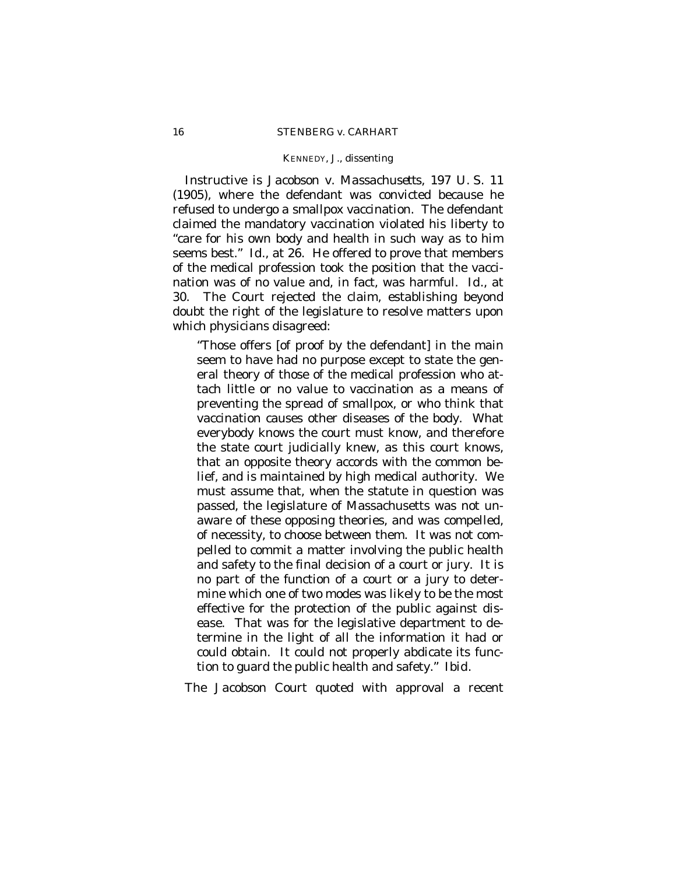#### 16 STENBERG *v.* CARHART

#### KENNEDY, J., dissenting

Instructive is *Jacobson* v. *Massachusetts,* 197 U. S. 11 (1905), where the defendant was convicted because he refused to undergo a smallpox vaccination. The defendant claimed the mandatory vaccination violated his liberty to "care for his own body and health in such way as to him seems best." *Id.*, at 26. He offered to prove that members of the medical profession took the position that the vaccination was of no value and, in fact, was harmful. *Id.*, at 30. The Court rejected the claim, establishing beyond doubt the right of the legislature to resolve matters upon which physicians disagreed:

"Those offers [of proof by the defendant] in the main seem to have had no purpose except to state the general theory of those of the medical profession who attach little or no value to vaccination as a means of preventing the spread of smallpox, or who think that vaccination causes other diseases of the body. What everybody knows the court must know, and therefore the state court judicially knew, as this court knows, that an opposite theory accords with the common belief, and is maintained by high medical authority. We must assume that, when the statute in question was passed, the legislature of Massachusetts was not unaware of these opposing theories, and was compelled, of necessity, to choose between them. It was not compelled to commit a matter involving the public health and safety to the final decision of a court or jury. It is no part of the function of a court or a jury to determine which one of two modes was likely to be the most effective for the protection of the public against disease. That was for the legislative department to determine in the light of all the information it had or could obtain. It could not properly abdicate its function to guard the public health and safety." *Ibid.*

The *Jacobson* Court quoted with approval a recent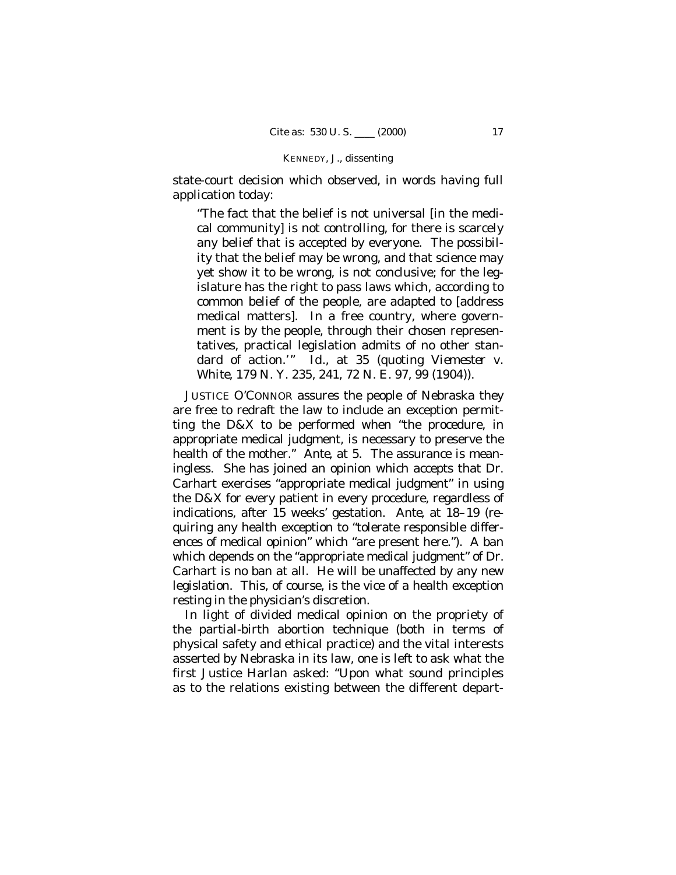state-court decision which observed, in words having full application today:

"The fact that the belief is not universal [in the medical community] is not controlling, for there is scarcely any belief that is accepted by everyone. The possibility that the belief may be wrong, and that science may yet show it to be wrong, is not conclusive; for the legislature has the right to pass laws which, according to common belief of the people, are adapted to [address medical matters]. In a free country, where government is by the people, through their chosen representatives, practical legislation admits of no other standard of action.'" *Id.*, at 35 (quoting *Viemester* v. *White*, 179 N. Y. 235, 241, 72 N. E. 97, 99 (1904)).

JUSTICE O'CONNOR assures the people of Nebraska they are free to redraft the law to include an exception permitting the D&X to be performed when "the procedure, in appropriate medical judgment, is necessary to preserve the health of the mother." *Ante*, at 5. The assurance is meaningless. She has joined an opinion which accepts that Dr. Carhart exercises "appropriate medical judgment" in using the D&X for every patient in every procedure, regardless of indications, after 15 weeks' gestation. *Ante*, at 18–19 (requiring any health exception to "tolerate responsible differences of medical opinion" which "are present here."). A ban which depends on the "appropriate medical judgment" of Dr. Carhart is no ban at all. He will be unaffected by any new legislation. This, of course, is the vice of a health exception resting in the physician's discretion.

In light of divided medical opinion on the propriety of the partial-birth abortion technique (both in terms of physical safety and ethical practice) and the vital interests asserted by Nebraska in its law, one is left to ask what the first Justice Harlan asked: "Upon what sound principles as to the relations existing between the different depart-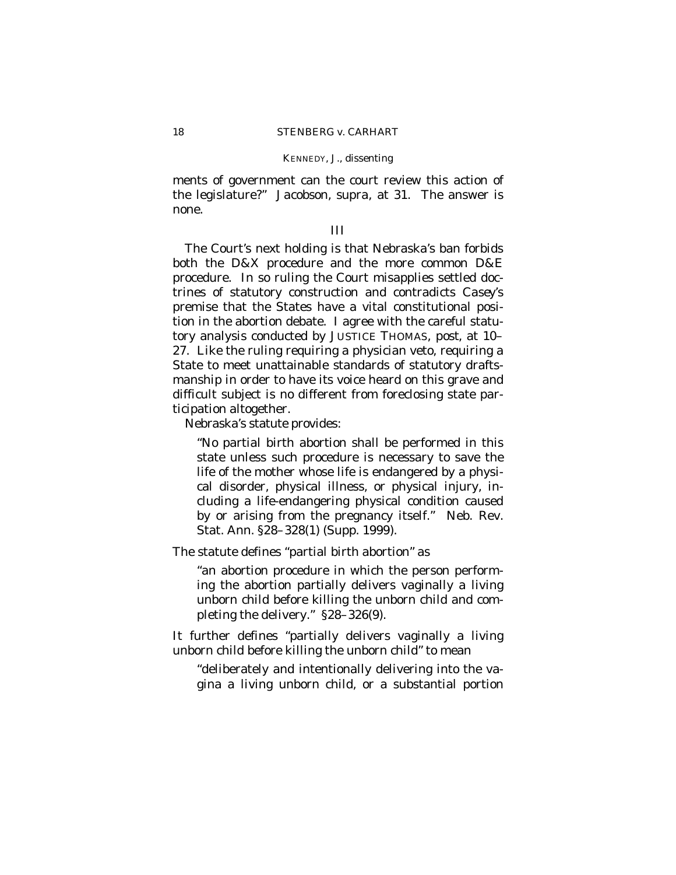ments of government can the court review this action of the legislature?" *Jacobson*, *supra,* at 31. The answer is none.

# III

The Court's next holding is that Nebraska's ban forbids both the D&X procedure and the more common D&E procedure. In so ruling the Court misapplies settled doctrines of statutory construction and contradicts *Casey*'s premise that the States have a vital constitutional position in the abortion debate. I agree with the careful statutory analysis conducted by JUSTICE THOMAS, *post*, at 10– 27. Like the ruling requiring a physician veto, requiring a State to meet unattainable standards of statutory draftsmanship in order to have its voice heard on this grave and difficult subject is no different from foreclosing state participation altogether.

Nebraska's statute provides:

"No partial birth abortion shall be performed in this state unless such procedure is necessary to save the life of the mother whose life is endangered by a physical disorder, physical illness, or physical injury, including a life-endangering physical condition caused by or arising from the pregnancy itself." Neb. Rev. Stat. Ann. §28–328(1) (Supp. 1999).

The statute defines "partial birth abortion" as

"an abortion procedure in which the person performing the abortion partially delivers vaginally a living unborn child before killing the unborn child and completing the delivery." §28–326(9).

It further defines "partially delivers vaginally a living unborn child before killing the unborn child" to mean

"deliberately and intentionally delivering into the vagina a living unborn child, or a substantial portion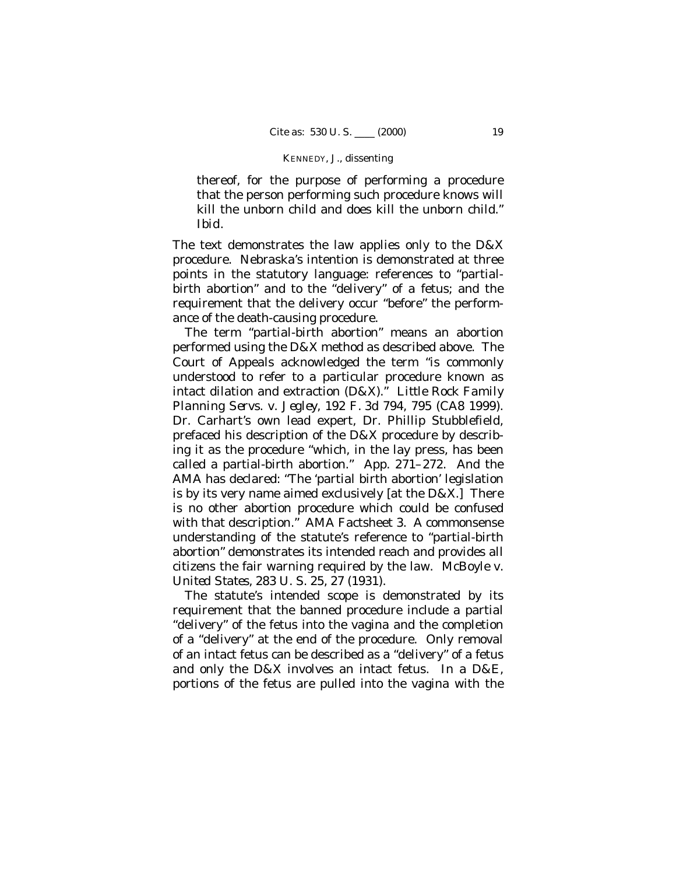thereof, for the purpose of performing a procedure that the person performing such procedure knows will kill the unborn child and does kill the unborn child." *Ibid.*

The text demonstrates the law applies only to the D&X procedure. Nebraska's intention is demonstrated at three points in the statutory language: references to "partialbirth abortion" and to the "delivery" of a fetus; and the requirement that the delivery occur "before" the performance of the death-causing procedure.

The term "partial-birth abortion" means an abortion performed using the D&X method as described above. The Court of Appeals acknowledged the term "is commonly understood to refer to a particular procedure known as intact dilation and extraction (D&X)." *Little Rock Family Planning Servs.* v. *Jegley*, 192 F. 3d 794, 795 (CA8 1999). Dr. Carhart's own lead expert, Dr. Phillip Stubblefield, prefaced his description of the D&X procedure by describing it as the procedure "which, in the lay press, has been called a partial-birth abortion." App. 271–272. And the AMA has declared: "The 'partial birth abortion' legislation is by its very name aimed exclusively [at the D&X.] There is no other abortion procedure which could be confused with that description." AMA Factsheet 3. A commonsense understanding of the statute's reference to "partial-birth abortion" demonstrates its intended reach and provides all citizens the fair warning required by the law. *McBoyle* v. *United States,* 283 U. S. 25, 27 (1931).

The statute's intended scope is demonstrated by its requirement that the banned procedure include a partial "delivery" of the fetus into the vagina and the completion of a "delivery" at the end of the procedure. Only removal of an intact fetus can be described as a "delivery" of a fetus and only the D&X involves an intact fetus. In a D&E, portions of the fetus are pulled into the vagina with the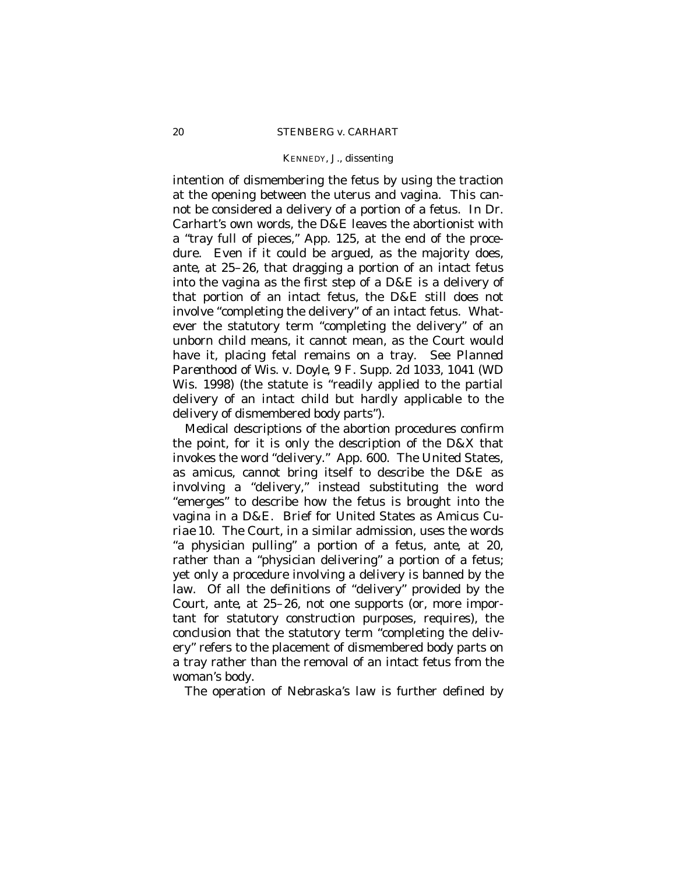intention of dismembering the fetus by using the traction at the opening between the uterus and vagina. This cannot be considered a delivery of a portion of a fetus. In Dr. Carhart's own words, the D&E leaves the abortionist with a "tray full of pieces," App. 125, at the end of the procedure. Even if it could be argued, as the majority does, *ante*, at 25–26, that dragging a portion of an intact fetus into the vagina as the first step of a D&E is a delivery of that portion of an intact fetus, the D&E still does not involve "completing the delivery" of an intact fetus. Whatever the statutory term "completing the delivery" of an unborn child means, it cannot mean, as the Court would have it, placing fetal remains on a tray. See *Planned Parenthood of Wis.* v. *Doyle*, 9 F. Supp. 2d 1033, 1041 (WD Wis. 1998) (the statute is "readily applied to the partial delivery of an intact child but hardly applicable to the delivery of dismembered body parts").

Medical descriptions of the abortion procedures confirm the point, for it is only the description of the D&X that invokes the word "delivery." App. 600. The United States, as *amicus*, cannot bring itself to describe the D&E as involving a "delivery," instead substituting the word "emerges" to describe how the fetus is brought into the vagina in a D&E. Brief for United States as *Amicus Curiae* 10. The Court, in a similar admission, uses the words "a physician pulling" a portion of a fetus, *ante,* at 20, rather than a "physician delivering" a portion of a fetus; yet only a procedure involving a delivery is banned by the law. Of all the definitions of "delivery" provided by the Court, *ante*, at 25–26, not one supports (or, more important for statutory construction purposes, requires), the conclusion that the statutory term "completing the delivery" refers to the placement of dismembered body parts on a tray rather than the removal of an intact fetus from the woman's body.

The operation of Nebraska's law is further defined by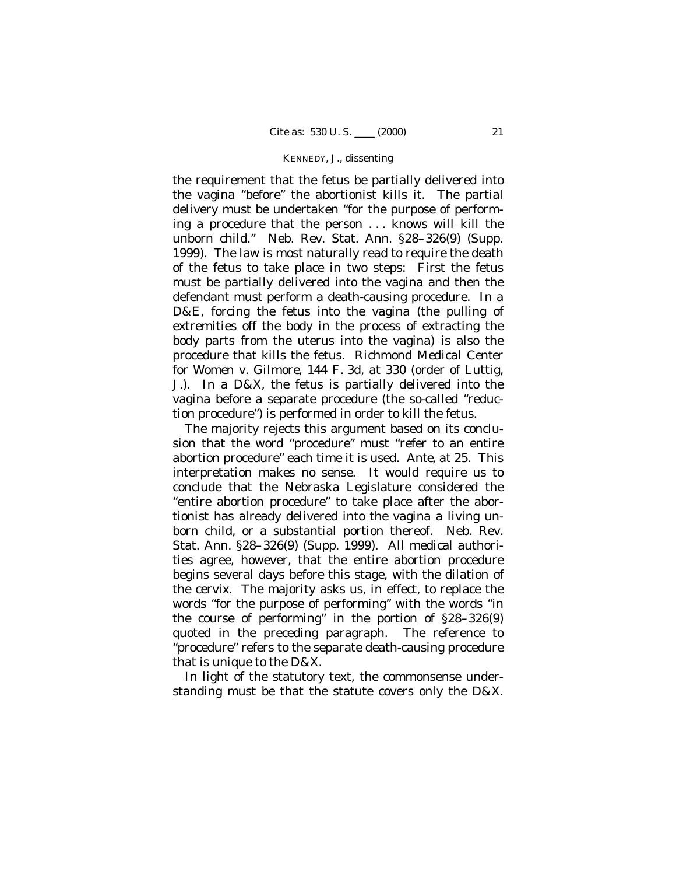the requirement that the fetus be partially delivered into the vagina "before" the abortionist kills it. The partial delivery must be undertaken "for the purpose of performing a procedure that the person . . . knows will kill the unborn child." Neb. Rev. Stat. Ann. §28–326(9) (Supp. 1999). The law is most naturally read to require the death of the fetus to take place in two steps: First the fetus must be partially delivered into the vagina and then the defendant must perform a death-causing procedure. In a D&E, forcing the fetus into the vagina (the pulling of extremities off the body in the process of extracting the body parts from the uterus into the vagina) is also the procedure that kills the fetus. *Richmond Medical Center for Women* v. *Gilmore*, 144 F. 3d, at 330 (order of Luttig, J.). In a D&X, the fetus is partially delivered into the vagina before a separate procedure (the so-called "reduction procedure") is performed in order to kill the fetus.

The majority rejects this argument based on its conclusion that the word "procedure" must "refer to an entire abortion procedure" each time it is used. *Ante*, at 25. This interpretation makes no sense. It would require us to conclude that the Nebraska Legislature considered the "entire abortion procedure" to take place after the abortionist has already delivered into the vagina a living unborn child, or a substantial portion thereof. Neb. Rev. Stat. Ann. §28–326(9) (Supp. 1999). All medical authorities agree, however, that the entire abortion procedure begins several days before this stage, with the dilation of the cervix. The majority asks us, in effect, to replace the words "for the purpose of performing" with the words "in the course of performing" in the portion of §28–326(9) quoted in the preceding paragraph. The reference to "procedure" refers to the separate death-causing procedure that is unique to the D&X.

In light of the statutory text, the commonsense understanding must be that the statute covers only the D&X.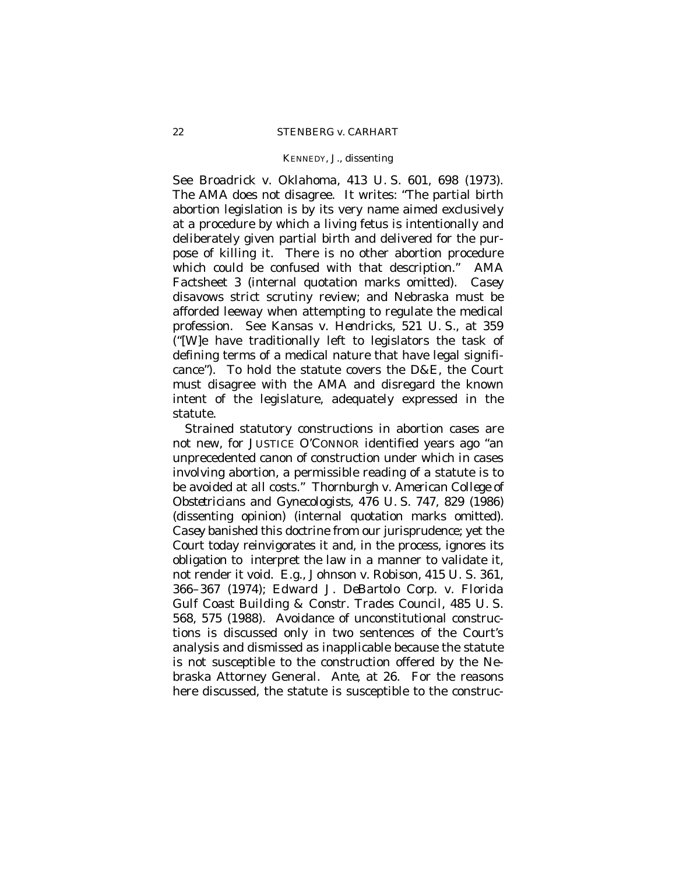See *Broadrick* v. *Oklahoma,* 413 U. S. 601, 698 (1973). The AMA does not disagree. It writes: "The partial birth abortion legislation is by its very name aimed exclusively at a procedure by which a living fetus is intentionally and deliberately given partial birth and delivered for the purpose of killing it. There is no other abortion procedure which could be confused with that description." AMA Factsheet 3 (internal quotation marks omitted). *Casey* disavows strict scrutiny review; and Nebraska must be afforded leeway when attempting to regulate the medical profession. See *Kansas* v. *Hendricks,* 521 U. S., at 359 ("[W]e have traditionally left to legislators the task of defining terms of a medical nature that have legal significance"). To hold the statute covers the D&E, the Court must disagree with the AMA and disregard the known intent of the legislature, adequately expressed in the statute.

Strained statutory constructions in abortion cases are not new, for JUSTICE O'CONNOR identified years ago "an unprecedented canon of construction under which in cases involving abortion, a permissible reading of a statute is to be avoided at all costs." *Thornburgh* v. *American College of Obstetricians and Gynecologists,* 476 U. S. 747, 829 (1986) (dissenting opinion) (internal quotation marks omitted). *Casey* banished this doctrine from our jurisprudence; yet the Court today reinvigorates it and, in the process, ignores its obligation to interpret the law in a manner to validate it, not render it void. *E.g.*, *Johnson* v. *Robison,* 415 U. S. 361, 366–367 (1974); *Edward J. DeBartolo Corp.* v. *Florida Gulf Coast Building & Constr. Trades Council,* 485 U. S. 568, 575 (1988). Avoidance of unconstitutional constructions is discussed only in two sentences of the Court's analysis and dismissed as inapplicable because the statute is not susceptible to the construction offered by the Nebraska Attorney General. *Ante*, at 26. For the reasons here discussed, the statute is susceptible to the construc-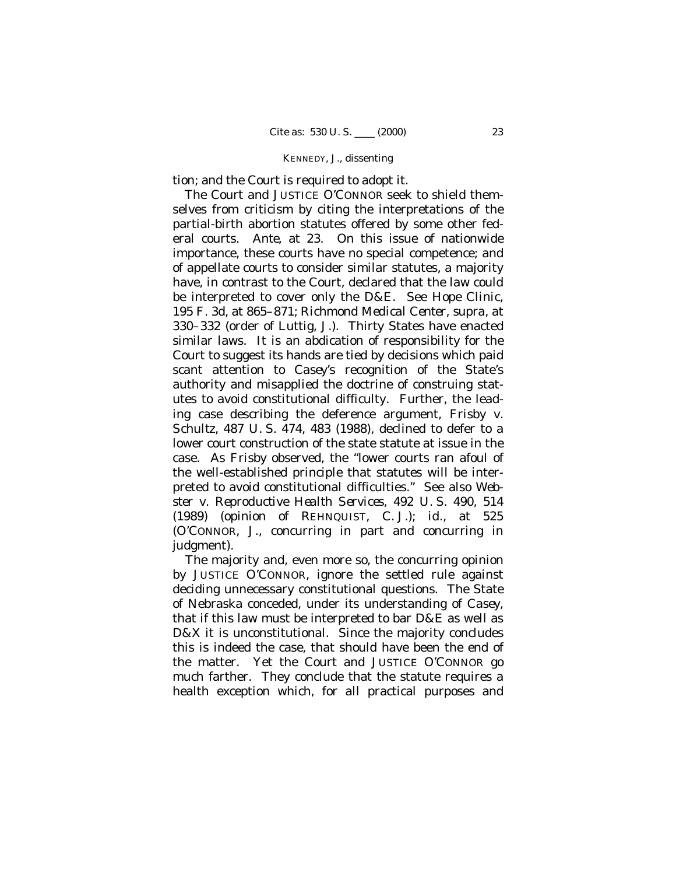tion; and the Court is required to adopt it.

The Court and JUSTICE O'CONNOR seek to shield themselves from criticism by citing the interpretations of the partial-birth abortion statutes offered by some other federal courts. *Ante*, at 23. On this issue of nationwide importance, these courts have no special competence; and of appellate courts to consider similar statutes, a majority have, in contrast to the Court, declared that the law could be interpreted to cover only the D&E. See *Hope Clinic*, 195 F. 3d, at 865–871; *Richmond Medical Center*, *supra,* at 330–332 (order of Luttig, J.). Thirty States have enacted similar laws. It is an abdication of responsibility for the Court to suggest its hands are tied by decisions which paid scant attention to *Casey*'s recognition of the State's authority and misapplied the doctrine of construing statutes to avoid constitutional difficulty. Further, the leading case describing the deference argument, *Frisby* v. *Schultz,* 487 U. S. 474, 483 (1988), declined to defer to a lower court construction of the state statute at issue in the case. As *Frisby* observed, the "lower courts ran afoul of the well-established principle that statutes will be interpreted to avoid constitutional difficulties." See also *Webster* v. *Reproductive Health Services,* 492 U. S. 490, 514 (1989) (opinion of REHNQUIST, C. J.); *id.*, at 525 (O'CONNOR, J., concurring in part and concurring in judgment).

The majority and, even more so, the concurring opinion by JUSTICE O'CONNOR, ignore the settled rule against deciding unnecessary constitutional questions. The State of Nebraska conceded, under its understanding of *Casey*, that if this law must be interpreted to bar D&E as well as D&X it is unconstitutional. Since the majority concludes this is indeed the case, that should have been the end of the matter. Yet the Court and JUSTICE O'CONNOR go much farther. They conclude that the statute requires a health exception which, for all practical purposes and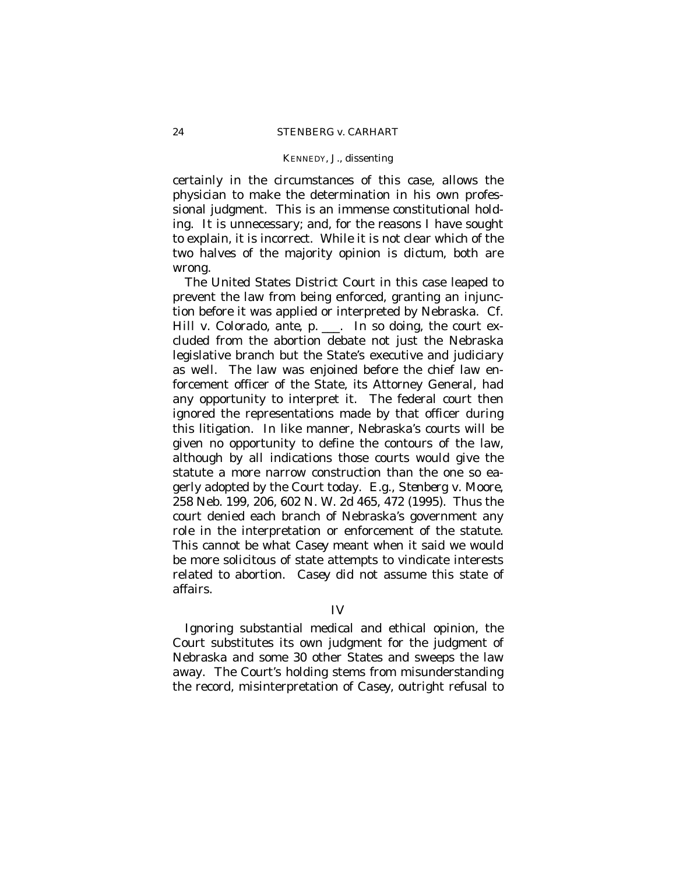certainly in the circumstances of this case, allows the physician to make the determination in his own professional judgment. This is an immense constitutional holding. It is unnecessary; and, for the reasons I have sought to explain, it is incorrect. While it is not clear which of the two halves of the majority opinion is *dictum*, both are wrong.

The United States District Court in this case leaped to prevent the law from being enforced, granting an injunction before it was applied or interpreted by Nebraska. Cf. *Hill* v. *Colorado*, *ante,* p. \_\_\_. In so doing, the court excluded from the abortion debate not just the Nebraska legislative branch but the State's executive and judiciary as well. The law was enjoined before the chief law enforcement officer of the State, its Attorney General, had any opportunity to interpret it. The federal court then ignored the representations made by that officer during this litigation. In like manner, Nebraska's courts will be given no opportunity to define the contours of the law, although by all indications those courts would give the statute a more narrow construction than the one so eagerly adopted by the Court today. *E.g., Stenberg* v. *Moore*, 258 Neb. 199, 206, 602 N. W. 2d 465, 472 (1995). Thus the court denied each branch of Nebraska's government any role in the interpretation or enforcement of the statute. This cannot be what *Casey* meant when it said we would be more solicitous of state attempts to vindicate interests related to abortion. *Casey* did not assume this state of affairs.

# IV

Ignoring substantial medical and ethical opinion, the Court substitutes its own judgment for the judgment of Nebraska and some 30 other States and sweeps the law away. The Court's holding stems from misunderstanding the record, misinterpretation of *Casey*, outright refusal to